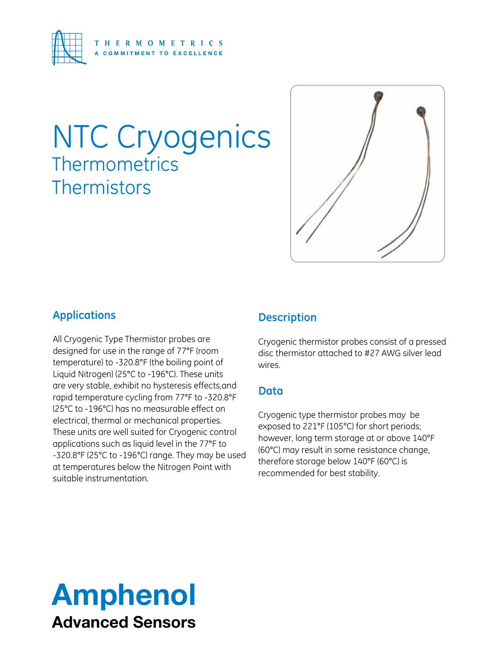

# NTC Cryogenics **Thermometrics Thermistors**



### **Applications**

All Cryogenic Type Thermistor probes are designed for use in the range of 77°F (room temperature) to -320.8°F (the boiling point of Liquid Nitrogen) (25°C to -196°C). These units are very stable, exhibit no hysteresis effects,and rapid temperature cycling from 77°F to -320.8°F (25°C to -196°C) has no measurable effect on electrical, thermal or mechanical properties. These units are well suited for Cryogenic control applications such as liquid level in the 77°F to -320.8°F (25°C to -196°C) range. They may be used at temperatures below the Nitrogen Point with suitable instrumentation.

#### **Description**

Cryogenic thermistor probes consist of a pressed disc thermistor attached to #27 AWG silver lead wires.

#### **Data**

Cryogenic type thermistor probes may be exposed to 221°F (105°C) for short periods; however, long term storage at or above 140°F (60°C) may result in some resistance change, therefore storage below 140°F (60°C) is recommended for best stability.

# Amphenol Advanced Sensors